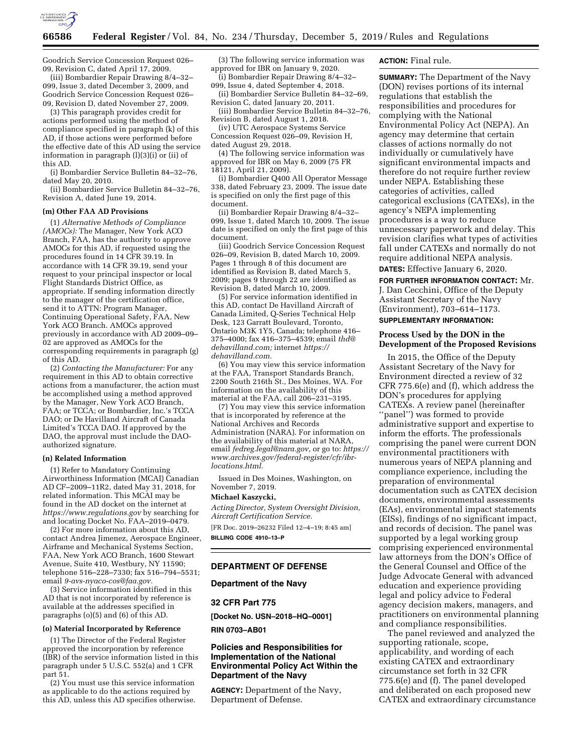

Goodrich Service Concession Request 026– 09, Revision C, dated April 17, 2009.

(iii) Bombardier Repair Drawing 8/4–32– 099, Issue 3, dated December 3, 2009, and Goodrich Service Concession Request 026– 09, Revision D, dated November 27, 2009.

(3) This paragraph provides credit for actions performed using the method of compliance specified in paragraph (k) of this AD, if those actions were performed before the effective date of this AD using the service information in paragraph  $(l)(3)(i)$  or (ii) of this AD.

(i) Bombardier Service Bulletin 84–32–76, dated May 20, 2010.

(ii) Bombardier Service Bulletin 84–32–76, Revision A, dated June 19, 2014.

#### **(m) Other FAA AD Provisions**

(1) *Alternative Methods of Compliance (AMOCs):* The Manager, New York ACO Branch, FAA, has the authority to approve AMOCs for this AD, if requested using the procedures found in 14 CFR 39.19. In accordance with 14 CFR 39.19, send your request to your principal inspector or local Flight Standards District Office, as appropriate. If sending information directly to the manager of the certification office, send it to ATTN: Program Manager, Continuing Operational Safety, FAA, New York ACO Branch. AMOCs approved previously in accordance with AD 2009–09– 02 are approved as AMOCs for the corresponding requirements in paragraph (g) of this AD.

(2) *Contacting the Manufacturer:* For any requirement in this AD to obtain corrective actions from a manufacturer, the action must be accomplished using a method approved by the Manager, New York ACO Branch, FAA; or TCCA; or Bombardier, Inc.'s TCCA DAO; or De Havilland Aircraft of Canada Limited's TCCA DAO. If approved by the DAO, the approval must include the DAOauthorized signature.

#### **(n) Related Information**

(1) Refer to Mandatory Continuing Airworthiness Information (MCAI) Canadian AD CF–2009–11R2, dated May 31, 2018, for related information. This MCAI may be found in the AD docket on the internet at *<https://www.regulations.gov>* by searching for and locating Docket No. FAA–2019–0479.

(2) For more information about this AD, contact Andrea Jimenez, Aerospace Engineer, Airframe and Mechanical Systems Section, FAA, New York ACO Branch, 1600 Stewart Avenue, Suite 410, Westbury, NY 11590; telephone 516–228–7330; fax 516–794–5531; email *[9-avs-nyaco-cos@faa.gov.](mailto:9-avs-nyaco-cos@faa.gov)* 

(3) Service information identified in this AD that is not incorporated by reference is available at the addresses specified in paragraphs (o)(5) and (6) of this AD.

#### **(o) Material Incorporated by Reference**

(1) The Director of the Federal Register approved the incorporation by reference (IBR) of the service information listed in this paragraph under 5 U.S.C. 552(a) and 1 CFR part 51.

(2) You must use this service information as applicable to do the actions required by this AD, unless this AD specifies otherwise.

(3) The following service information was approved for IBR on January 9, 2020.

(i) Bombardier Repair Drawing 8/4–32– 099, Issue 4, dated September 4, 2018.

(ii) Bombardier Service Bulletin 84–32–69, Revision C, dated January 20, 2011.

(iii) Bombardier Service Bulletin 84–32–76, Revision B, dated August 1, 2018.

(iv) UTC Aerospace Systems Service Concession Request 026–09, Revision H, dated August 29, 2018.

(4) The following service information was approved for IBR on May 6, 2009 (75 FR 18121, April 21, 2009).

(i) Bombardier Q400 All Operator Message 338, dated February 23, 2009. The issue date is specified on only the first page of this document.

(ii) Bombardier Repair Drawing 8/4–32– 099, Issue 1, dated March 10, 2009. The issue date is specified on only the first page of this document.

(iii) Goodrich Service Concession Request 026–09, Revision B, dated March 10, 2009. Pages 1 through 8 of this document are identified as Revision B, dated March 5, 2009; pages 9 through 22 are identified as Revision B, dated March 10, 2009.

(5) For service information identified in this AD, contact De Havilland Aircraft of Canada Limited, Q-Series Technical Help Desk, 123 Garratt Boulevard, Toronto, Ontario M3K 1Y5, Canada; telephone 416– 375–4000; fax 416–375–4539; email *[thd@](mailto:thd@dehavilland.com) [dehavilland.com;](mailto:thd@dehavilland.com)* internet *[https://](https://dehavilland.com) [dehavilland.com.](https://dehavilland.com)* 

(6) You may view this service information at the FAA, Transport Standards Branch, 2200 South 216th St., Des Moines, WA. For information on the availability of this material at the FAA, call 206–231–3195.

(7) You may view this service information that is incorporated by reference at the National Archives and Records Administration (NARA). For information on the availability of this material at NARA, email *[fedreg.legal@nara.gov,](mailto:fedreg.legal@nara.gov)* or go to: *[https://](https://www.archives.gov/federal-register/cfr/ibr-locations.html) [www.archives.gov/federal-register/cfr/ibr](https://www.archives.gov/federal-register/cfr/ibr-locations.html)[locations.html.](https://www.archives.gov/federal-register/cfr/ibr-locations.html)* 

Issued in Des Moines, Washington, on November 7, 2019.

### **Michael Kaszycki,**

*Acting Director, System Oversight Division, Aircraft Certification Service.* 

[FR Doc. 2019–26232 Filed 12–4–19; 8:45 am] **BILLING CODE 4910–13–P** 

# **DEPARTMENT OF DEFENSE**

# **Department of the Navy**

### **32 CFR Part 775**

**[Docket No. USN–2018–HQ–0001]** 

**RIN 0703–AB01** 

### **Policies and Responsibilities for Implementation of the National Environmental Policy Act Within the Department of the Navy**

**AGENCY:** Department of the Navy, Department of Defense.

### **ACTION:** Final rule.

**SUMMARY:** The Department of the Navy (DON) revises portions of its internal regulations that establish the responsibilities and procedures for complying with the National Environmental Policy Act (NEPA). An agency may determine that certain classes of actions normally do not individually or cumulatively have significant environmental impacts and therefore do not require further review under NEPA. Establishing these categories of activities, called categorical exclusions (CATEXs), in the agency's NEPA implementing procedures is a way to reduce unnecessary paperwork and delay. This revision clarifies what types of activities fall under CATEXs and normally do not require additional NEPA analysis. **DATES:** Effective January 6, 2020.

#### **FOR FURTHER INFORMATION CONTACT:** Mr.

J. Dan Cecchini, Office of the Deputy Assistant Secretary of the Navy (Environment), 703–614–1173.

### **SUPPLEMENTARY INFORMATION:**

### **Process Used by the DON in the Development of the Proposed Revisions**

In 2015, the Office of the Deputy Assistant Secretary of the Navy for Environment directed a review of 32 CFR 775.6(e) and (f), which address the DON's procedures for applying CATEXs. A review panel (hereinafter ''panel'') was formed to provide administrative support and expertise to inform the efforts. The professionals comprising the panel were current DON environmental practitioners with numerous years of NEPA planning and compliance experience, including the preparation of environmental documentation such as CATEX decision documents, environmental assessments (EAs), environmental impact statements (EISs), findings of no significant impact, and records of decision. The panel was supported by a legal working group comprising experienced environmental law attorneys from the DON's Office of the General Counsel and Office of the Judge Advocate General with advanced education and experience providing legal and policy advice to Federal agency decision makers, managers, and practitioners on environmental planning and compliance responsibilities.

The panel reviewed and analyzed the supporting rationale, scope, applicability, and wording of each existing CATEX and extraordinary circumstance set forth in 32 CFR 775.6(e) and (f). The panel developed and deliberated on each proposed new CATEX and extraordinary circumstance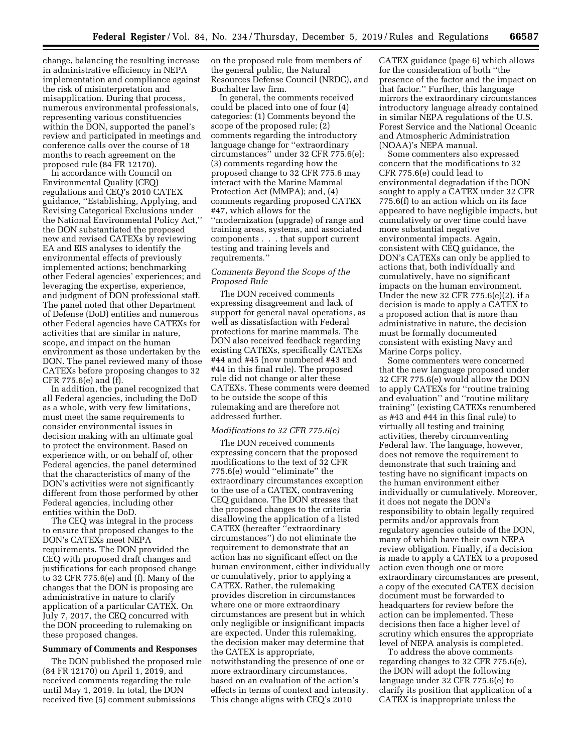change, balancing the resulting increase in administrative efficiency in NEPA implementation and compliance against the risk of misinterpretation and misapplication. During that process, numerous environmental professionals, representing various constituencies within the DON, supported the panel's review and participated in meetings and conference calls over the course of 18 months to reach agreement on the proposed rule (84 FR 12170).

In accordance with Council on Environmental Quality (CEQ) regulations and CEQ's 2010 CATEX guidance, ''Establishing, Applying, and Revising Categorical Exclusions under the National Environmental Policy Act,'' the DON substantiated the proposed new and revised CATEXs by reviewing EA and EIS analyses to identify the environmental effects of previously implemented actions; benchmarking other Federal agencies' experiences; and leveraging the expertise, experience, and judgment of DON professional staff. The panel noted that other Department of Defense (DoD) entities and numerous other Federal agencies have CATEXs for activities that are similar in nature, scope, and impact on the human environment as those undertaken by the DON. The panel reviewed many of those CATEXs before proposing changes to 32 CFR 775.6(e) and (f).

In addition, the panel recognized that all Federal agencies, including the DoD as a whole, with very few limitations, must meet the same requirements to consider environmental issues in decision making with an ultimate goal to protect the environment. Based on experience with, or on behalf of, other Federal agencies, the panel determined that the characteristics of many of the DON's activities were not significantly different from those performed by other Federal agencies, including other entities within the DoD.

The CEQ was integral in the process to ensure that proposed changes to the DON's CATEXs meet NEPA requirements. The DON provided the CEQ with proposed draft changes and justifications for each proposed change to 32 CFR 775.6(e) and (f). Many of the changes that the DON is proposing are administrative in nature to clarify application of a particular CATEX. On July 7, 2017, the CEQ concurred with the DON proceeding to rulemaking on these proposed changes.

#### **Summary of Comments and Responses**

The DON published the proposed rule (84 FR 12170) on April 1, 2019, and received comments regarding the rule until May 1, 2019. In total, the DON received five (5) comment submissions

on the proposed rule from members of the general public, the Natural Resources Defense Council (NRDC), and Buchalter law firm.

In general, the comments received could be placed into one of four (4) categories: (1) Comments beyond the scope of the proposed rule; (2) comments regarding the introductory language change for ''extraordinary circumstances'' under 32 CFR 775.6(e); (3) comments regarding how the proposed change to 32 CFR 775.6 may interact with the Marine Mammal Protection Act (MMPA); and, (4) comments regarding proposed CATEX #47, which allows for the ''modernization (upgrade) of range and training areas, systems, and associated components . . . that support current testing and training levels and requirements.''

### *Comments Beyond the Scope of the Proposed Rule*

The DON received comments expressing disagreement and lack of support for general naval operations, as well as dissatisfaction with Federal protections for marine mammals. The DON also received feedback regarding existing CATEXs, specifically CATEXs #44 and #45 (now numbered #43 and #44 in this final rule). The proposed rule did not change or alter these CATEXs. These comments were deemed to be outside the scope of this rulemaking and are therefore not addressed further.

#### *Modifications to 32 CFR 775.6(e)*

The DON received comments expressing concern that the proposed modifications to the text of 32 CFR 775.6(e) would ''eliminate'' the extraordinary circumstances exception to the use of a CATEX, contravening CEQ guidance. The DON stresses that the proposed changes to the criteria disallowing the application of a listed CATEX (hereafter ''extraordinary circumstances'') do not eliminate the requirement to demonstrate that an action has no significant effect on the human environment, either individually or cumulatively, prior to applying a CATEX. Rather, the rulemaking provides discretion in circumstances where one or more extraordinary circumstances are present but in which only negligible or insignificant impacts are expected. Under this rulemaking, the decision maker may determine that the CATEX is appropriate, notwithstanding the presence of one or more extraordinary circumstances, based on an evaluation of the action's effects in terms of context and intensity. This change aligns with CEQ's 2010

CATEX guidance (page 6) which allows for the consideration of both ''the presence of the factor and the impact on that factor.'' Further, this language mirrors the extraordinary circumstances introductory language already contained in similar NEPA regulations of the U.S. Forest Service and the National Oceanic and Atmospheric Administration (NOAA)'s NEPA manual.

Some commenters also expressed concern that the modifications to 32 CFR 775.6(e) could lead to environmental degradation if the DON sought to apply a CATEX under 32 CFR 775.6(f) to an action which on its face appeared to have negligible impacts, but cumulatively or over time could have more substantial negative environmental impacts. Again, consistent with CEQ guidance, the DON's CATEXs can only be applied to actions that, both individually and cumulatively, have no significant impacts on the human environment. Under the new 32 CFR 775.6(e)(2), if a decision is made to apply a CATEX to a proposed action that is more than administrative in nature, the decision must be formally documented consistent with existing Navy and Marine Corps policy.

Some commenters were concerned that the new language proposed under 32 CFR 775.6(e) would allow the DON to apply CATEXs for ''routine training and evaluation'' and ''routine military training'' (existing CATEXs renumbered as #43 and #44 in this final rule) to virtually all testing and training activities, thereby circumventing Federal law. The language, however, does not remove the requirement to demonstrate that such training and testing have no significant impacts on the human environment either individually or cumulatively. Moreover, it does not negate the DON's responsibility to obtain legally required permits and/or approvals from regulatory agencies outside of the DON, many of which have their own NEPA review obligation. Finally, if a decision is made to apply a CATEX to a proposed action even though one or more extraordinary circumstances are present, a copy of the executed CATEX decision document must be forwarded to headquarters for review before the action can be implemented. These decisions then face a higher level of scrutiny which ensures the appropriate level of NEPA analysis is completed.

To address the above comments regarding changes to 32 CFR 775.6(e), the DON will adopt the following language under 32 CFR 775.6(e) to clarify its position that application of a CATEX is inappropriate unless the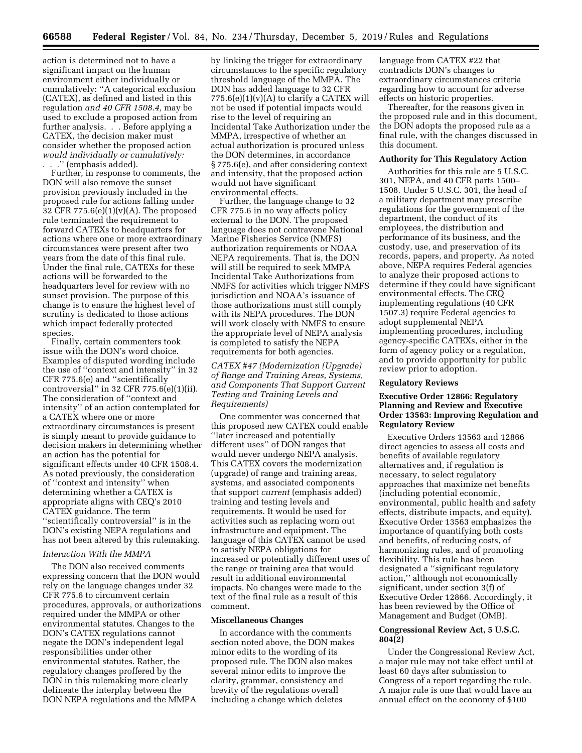action is determined not to have a significant impact on the human environment either individually or cumulatively: ''A categorical exclusion (CATEX), as defined and listed in this regulation *and 40 CFR 1508.4,* may be used to exclude a proposed action from further analysis. . . Before applying a CATEX, the decision maker must consider whether the proposed action *would individually or cumulatively:*  . . .'' (emphasis added).

Further, in response to comments, the DON will also remove the sunset provision previously included in the proposed rule for actions falling under 32 CFR 775.6(e)(1)(v)(A). The proposed rule terminated the requirement to forward CATEXs to headquarters for actions where one or more extraordinary circumstances were present after two years from the date of this final rule. Under the final rule, CATEXs for these actions will be forwarded to the headquarters level for review with no sunset provision. The purpose of this change is to ensure the highest level of scrutiny is dedicated to those actions which impact federally protected species.

Finally, certain commenters took issue with the DON's word choice. Examples of disputed wording include the use of ''context and intensity'' in 32 CFR 775.6(e) and ''scientifically controversial'' in 32 CFR 775.6(e)(1)(ii). The consideration of ''context and intensity'' of an action contemplated for a CATEX where one or more extraordinary circumstances is present is simply meant to provide guidance to decision makers in determining whether an action has the potential for significant effects under 40 CFR 1508.4. As noted previously, the consideration of ''context and intensity'' when determining whether a CATEX is appropriate aligns with CEQ's 2010 CATEX guidance. The term ''scientifically controversial'' is in the DON's existing NEPA regulations and has not been altered by this rulemaking.

### *Interaction With the MMPA*

The DON also received comments expressing concern that the DON would rely on the language changes under 32 CFR 775.6 to circumvent certain procedures, approvals, or authorizations required under the MMPA or other environmental statutes. Changes to the DON's CATEX regulations cannot negate the DON's independent legal responsibilities under other environmental statutes. Rather, the regulatory changes proffered by the DON in this rulemaking more clearly delineate the interplay between the DON NEPA regulations and the MMPA

by linking the trigger for extraordinary circumstances to the specific regulatory threshold language of the MMPA. The DON has added language to 32 CFR  $775.6(e)(1)(v)(A)$  to clarify a CATEX will not be used if potential impacts would rise to the level of requiring an Incidental Take Authorization under the MMPA, irrespective of whether an actual authorization is procured unless the DON determines, in accordance § 775.6(e), and after considering context and intensity, that the proposed action would not have significant environmental effects.

Further, the language change to 32 CFR 775.6 in no way affects policy external to the DON. The proposed language does not contravene National Marine Fisheries Service (NMFS) authorization requirements or NOAA NEPA requirements. That is, the DON will still be required to seek MMPA Incidental Take Authorizations from NMFS for activities which trigger NMFS jurisdiction and NOAA's issuance of those authorizations must still comply with its NEPA procedures. The DON will work closely with NMFS to ensure the appropriate level of NEPA analysis is completed to satisfy the NEPA requirements for both agencies.

*CATEX #47 (Modernization (Upgrade) of Range and Training Areas, Systems, and Components That Support Current Testing and Training Levels and Requirements)* 

One commenter was concerned that this proposed new CATEX could enable ''later increased and potentially different uses'' of DON ranges that would never undergo NEPA analysis. This CATEX covers the modernization (upgrade) of range and training areas, systems, and associated components that support *current* (emphasis added) training and testing levels and requirements. It would be used for activities such as replacing worn out infrastructure and equipment. The language of this CATEX cannot be used to satisfy NEPA obligations for increased or potentially different uses of the range or training area that would result in additional environmental impacts. No changes were made to the text of the final rule as a result of this comment.

#### **Miscellaneous Changes**

In accordance with the comments section noted above, the DON makes minor edits to the wording of its proposed rule. The DON also makes several minor edits to improve the clarity, grammar, consistency and brevity of the regulations overall including a change which deletes

language from CATEX #22 that contradicts DON's changes to extraordinary circumstances criteria regarding how to account for adverse effects on historic properties.

Thereafter, for the reasons given in the proposed rule and in this document, the DON adopts the proposed rule as a final rule, with the changes discussed in this document.

#### **Authority for This Regulatory Action**

Authorities for this rule are 5 U.S.C. 301, NEPA, and 40 CFR parts 1500– 1508. Under 5 U.S.C. 301, the head of a military department may prescribe regulations for the government of the department, the conduct of its employees, the distribution and performance of its business, and the custody, use, and preservation of its records, papers, and property. As noted above, NEPA requires Federal agencies to analyze their proposed actions to determine if they could have significant environmental effects. The CEQ implementing regulations (40 CFR 1507.3) require Federal agencies to adopt supplemental NEPA implementing procedures, including agency-specific CATEXs, either in the form of agency policy or a regulation, and to provide opportunity for public review prior to adoption.

#### **Regulatory Reviews**

### **Executive Order 12866: Regulatory Planning and Review and Executive Order 13563: Improving Regulation and Regulatory Review**

Executive Orders 13563 and 12866 direct agencies to assess all costs and benefits of available regulatory alternatives and, if regulation is necessary, to select regulatory approaches that maximize net benefits (including potential economic, environmental, public health and safety effects, distribute impacts, and equity). Executive Order 13563 emphasizes the importance of quantifying both costs and benefits, of reducing costs, of harmonizing rules, and of promoting flexibility. This rule has been designated a ''significant regulatory action,'' although not economically significant, under section 3(f) of Executive Order 12866. Accordingly, it has been reviewed by the Office of Management and Budget (OMB).

#### **Congressional Review Act, 5 U.S.C. 804(2)**

Under the Congressional Review Act, a major rule may not take effect until at least 60 days after submission to Congress of a report regarding the rule. A major rule is one that would have an annual effect on the economy of \$100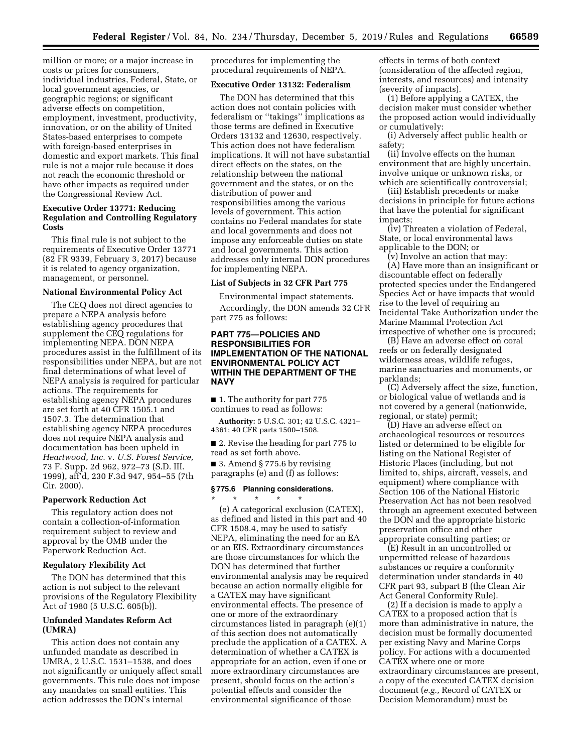million or more; or a major increase in costs or prices for consumers, individual industries, Federal, State, or local government agencies, or geographic regions; or significant adverse effects on competition, employment, investment, productivity, innovation, or on the ability of United States-based enterprises to compete with foreign-based enterprises in domestic and export markets. This final rule is not a major rule because it does not reach the economic threshold or have other impacts as required under the Congressional Review Act.

### **Executive Order 13771: Reducing Regulation and Controlling Regulatory Costs**

This final rule is not subject to the requirements of Executive Order 13771 (82 FR 9339, February 3, 2017) because it is related to agency organization, management, or personnel.

#### **National Environmental Policy Act**

The CEQ does not direct agencies to prepare a NEPA analysis before establishing agency procedures that supplement the CEQ regulations for implementing NEPA. DON NEPA procedures assist in the fulfillment of its responsibilities under NEPA, but are not final determinations of what level of NEPA analysis is required for particular actions. The requirements for establishing agency NEPA procedures are set forth at 40 CFR 1505.1 and 1507.3. The determination that establishing agency NEPA procedures does not require NEPA analysis and documentation has been upheld in *Heartwood, Inc.* v. *U.S. Forest Service,*  73 F. Supp. 2d 962, 972–73 (S.D. III. 1999), aff'd, 230 F.3d 947, 954–55 (7th Cir. 2000).

### **Paperwork Reduction Act**

This regulatory action does not contain a collection-of-information requirement subject to review and approval by the OMB under the Paperwork Reduction Act.

### **Regulatory Flexibility Act**

The DON has determined that this action is not subject to the relevant provisions of the Regulatory Flexibility Act of 1980 (5 U.S.C. 605(b)).

### **Unfunded Mandates Reform Act (UMRA)**

This action does not contain any unfunded mandate as described in UMRA, 2 U.S.C. 1531–1538, and does not significantly or uniquely affect small governments. This rule does not impose any mandates on small entities. This action addresses the DON's internal

procedures for implementing the procedural requirements of NEPA.

## **Executive Order 13132: Federalism**

The DON has determined that this action does not contain policies with federalism or ''takings'' implications as those terms are defined in Executive Orders 13132 and 12630, respectively. This action does not have federalism implications. It will not have substantial direct effects on the states, on the relationship between the national government and the states, or on the distribution of power and responsibilities among the various levels of government. This action contains no Federal mandates for state and local governments and does not impose any enforceable duties on state and local governments. This action addresses only internal DON procedures for implementing NEPA.

### **List of Subjects in 32 CFR Part 775**

Environmental impact statements. Accordingly, the DON amends 32 CFR part 775 as follows:

### **PART 775—POLICIES AND RESPONSIBILITIES FOR IMPLEMENTATION OF THE NATIONAL ENVIRONMENTAL POLICY ACT WITHIN THE DEPARTMENT OF THE NAVY**

■ 1. The authority for part 775 continues to read as follows:

**Authority:** 5 U.S.C. 301; 42 U.S.C. 4321– 4361; 40 CFR parts 1500–1508.

■ 2. Revise the heading for part 775 to read as set forth above.

■ 3. Amend § 775.6 by revising paragraphs (e) and (f) as follows:

#### **§ 775.6 Planning considerations.**

\* \* \* \* \* (e) A categorical exclusion (CATEX), as defined and listed in this part and 40 CFR 1508.4, may be used to satisfy NEPA, eliminating the need for an EA or an EIS. Extraordinary circumstances are those circumstances for which the DON has determined that further environmental analysis may be required because an action normally eligible for a CATEX may have significant environmental effects. The presence of one or more of the extraordinary circumstances listed in paragraph (e)(1) of this section does not automatically preclude the application of a CATEX. A determination of whether a CATEX is appropriate for an action, even if one or more extraordinary circumstances are present, should focus on the action's potential effects and consider the environmental significance of those

effects in terms of both context (consideration of the affected region, interests, and resources) and intensity (severity of impacts).

(1) Before applying a CATEX, the decision maker must consider whether the proposed action would individually or cumulatively:

(i) Adversely affect public health or safety;

(ii) Involve effects on the human environment that are highly uncertain, involve unique or unknown risks, or which are scientifically controversial;

(iii) Establish precedents or make decisions in principle for future actions that have the potential for significant impacts;

(iv) Threaten a violation of Federal, State, or local environmental laws applicable to the DON; or

(v) Involve an action that may: (A) Have more than an insignificant or discountable effect on federally protected species under the Endangered Species Act or have impacts that would rise to the level of requiring an Incidental Take Authorization under the Marine Mammal Protection Act irrespective of whether one is procured;

(B) Have an adverse effect on coral reefs or on federally designated wilderness areas, wildlife refuges, marine sanctuaries and monuments, or parklands;

(C) Adversely affect the size, function, or biological value of wetlands and is not covered by a general (nationwide, regional, or state) permit;

(D) Have an adverse effect on archaeological resources or resources listed or determined to be eligible for listing on the National Register of Historic Places (including, but not limited to, ships, aircraft, vessels, and equipment) where compliance with Section 106 of the National Historic Preservation Act has not been resolved through an agreement executed between the DON and the appropriate historic preservation office and other appropriate consulting parties; or

(E) Result in an uncontrolled or unpermitted release of hazardous substances or require a conformity determination under standards in 40 CFR part 93, subpart B (the Clean Air Act General Conformity Rule).

(2) If a decision is made to apply a CATEX to a proposed action that is more than administrative in nature, the decision must be formally documented per existing Navy and Marine Corps policy. For actions with a documented CATEX where one or more extraordinary circumstances are present, a copy of the executed CATEX decision document (*e.g.,* Record of CATEX or Decision Memorandum) must be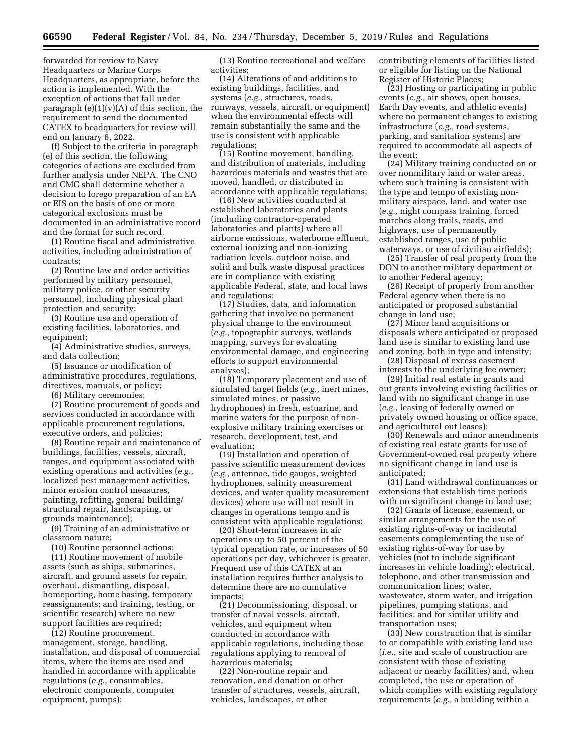forwarded for review to Navy Headquarters or Marine Corps Headquarters, as appropriate, before the action is implemented. With the exception of actions that fall under paragraph (e)(1)(v)(A) of this section, the requirement to send the documented CATEX to headquarters for review will end on January 6, 2022.

(f) Subject to the criteria in paragraph (e) of this section, the following categories of actions are excluded from further analysis under NEPA. The CNO and CMC shall determine whether a decision to forego preparation of an EA or EIS on the basis of one or more categorical exclusions must be documented in an administrative record and the format for such record.

(1) Routine fiscal and administrative activities, including administration of contracts;

(2) Routine law and order activities performed by military personnel, military police, or other security personnel, including physical plant protection and security;

(3) Routine use and operation of existing facilities, laboratories, and equipment:

(4) Administrative studies, surveys, and data collection;

(5) Issuance or modification of administrative procedures, regulations, directives, manuals, or policy;

(6) Military ceremonies;

(7) Routine procurement of goods and services conducted in accordance with applicable procurement regulations, executive orders, and policies;

(8) Routine repair and maintenance of buildings, facilities, vessels, aircraft, ranges, and equipment associated with existing operations and activities (*e.g.,*  localized pest management activities, minor erosion control measures, painting, refitting, general building/ structural repair, landscaping, or grounds maintenance);

(9) Training of an administrative or classroom nature;

(10) Routine personnel actions;

(11) Routine movement of mobile assets (such as ships, submarines, aircraft, and ground assets for repair, overhaul, dismantling, disposal, homeporting, home basing, temporary reassignments; and training, testing, or scientific research) where no new support facilities are required;

(12) Routine procurement, management, storage, handling, installation, and disposal of commercial items, where the items are used and handled in accordance with applicable regulations (*e.g.,* consumables, electronic components, computer equipment, pumps);

(13) Routine recreational and welfare activities;

(14) Alterations of and additions to existing buildings, facilities, and systems (*e.g.,* structures, roads, runways, vessels, aircraft, or equipment) when the environmental effects will remain substantially the same and the use is consistent with applicable regulations;

(15) Routine movement, handling, and distribution of materials, including hazardous materials and wastes that are moved, handled, or distributed in accordance with applicable regulations;

(16) New activities conducted at established laboratories and plants (including contractor-operated laboratories and plants) where all airborne emissions, waterborne effluent, external ionizing and non-ionizing radiation levels, outdoor noise, and solid and bulk waste disposal practices are in compliance with existing applicable Federal, state, and local laws and regulations;

(17) Studies, data, and information gathering that involve no permanent physical change to the environment (*e.g.,* topographic surveys, wetlands mapping, surveys for evaluating environmental damage, and engineering efforts to support environmental analyses);

(18) Temporary placement and use of simulated target fields (*e.g.,* inert mines, simulated mines, or passive hydrophones) in fresh, estuarine, and marine waters for the purpose of nonexplosive military training exercises or research, development, test, and evaluation;

(19) Installation and operation of passive scientific measurement devices (*e.g.,* antennae, tide gauges, weighted hydrophones, salinity measurement devices, and water quality measurement devices) where use will not result in changes in operations tempo and is consistent with applicable regulations;

(20) Short-term increases in air operations up to 50 percent of the typical operation rate, or increases of 50 operations per day, whichever is greater. Frequent use of this CATEX at an installation requires further analysis to determine there are no cumulative impacts;

(21) Decommissioning, disposal, or transfer of naval vessels, aircraft, vehicles, and equipment when conducted in accordance with applicable regulations, including those regulations applying to removal of hazardous materials;

(22) Non-routine repair and renovation, and donation or other transfer of structures, vessels, aircraft, vehicles, landscapes, or other

contributing elements of facilities listed or eligible for listing on the National Register of Historic Places;

(23) Hosting or participating in public events (*e.g.,* air shows, open houses, Earth Day events, and athletic events) where no permanent changes to existing infrastructure (*e.g.,* road systems, parking, and sanitation systems) are required to accommodate all aspects of the event;

(24) Military training conducted on or over nonmilitary land or water areas, where such training is consistent with the type and tempo of existing nonmilitary airspace, land, and water use (*e.g.,* night compass training, forced marches along trails, roads, and highways, use of permanently established ranges, use of public waterways, or use of civilian airfields);

(25) Transfer of real property from the DON to another military department or to another Federal agency;

(26) Receipt of property from another Federal agency when there is no anticipated or proposed substantial change in land use;

(27) Minor land acquisitions or disposals where anticipated or proposed land use is similar to existing land use and zoning, both in type and intensity;

(28) Disposal of excess easement interests to the underlying fee owner;

(29) Initial real estate in grants and out grants involving existing facilities or land with no significant change in use (*e.g.,* leasing of federally owned or privately owned housing or office space, and agricultural out leases);

(30) Renewals and minor amendments of existing real estate grants for use of Government-owned real property where no significant change in land use is anticipated;

(31) Land withdrawal continuances or extensions that establish time periods with no significant change in land use;

(32) Grants of license, easement, or similar arrangements for the use of existing rights-of-way or incidental easements complementing the use of existing rights-of-way for use by vehicles (not to include significant increases in vehicle loading); electrical, telephone, and other transmission and communication lines; water, wastewater, storm water, and irrigation pipelines, pumping stations, and facilities; and for similar utility and transportation uses;

(33) New construction that is similar to or compatible with existing land use (*i.e.,* site and scale of construction are consistent with those of existing adjacent or nearby facilities) and, when completed, the use or operation of which complies with existing regulatory requirements (*e.g.,* a building within a